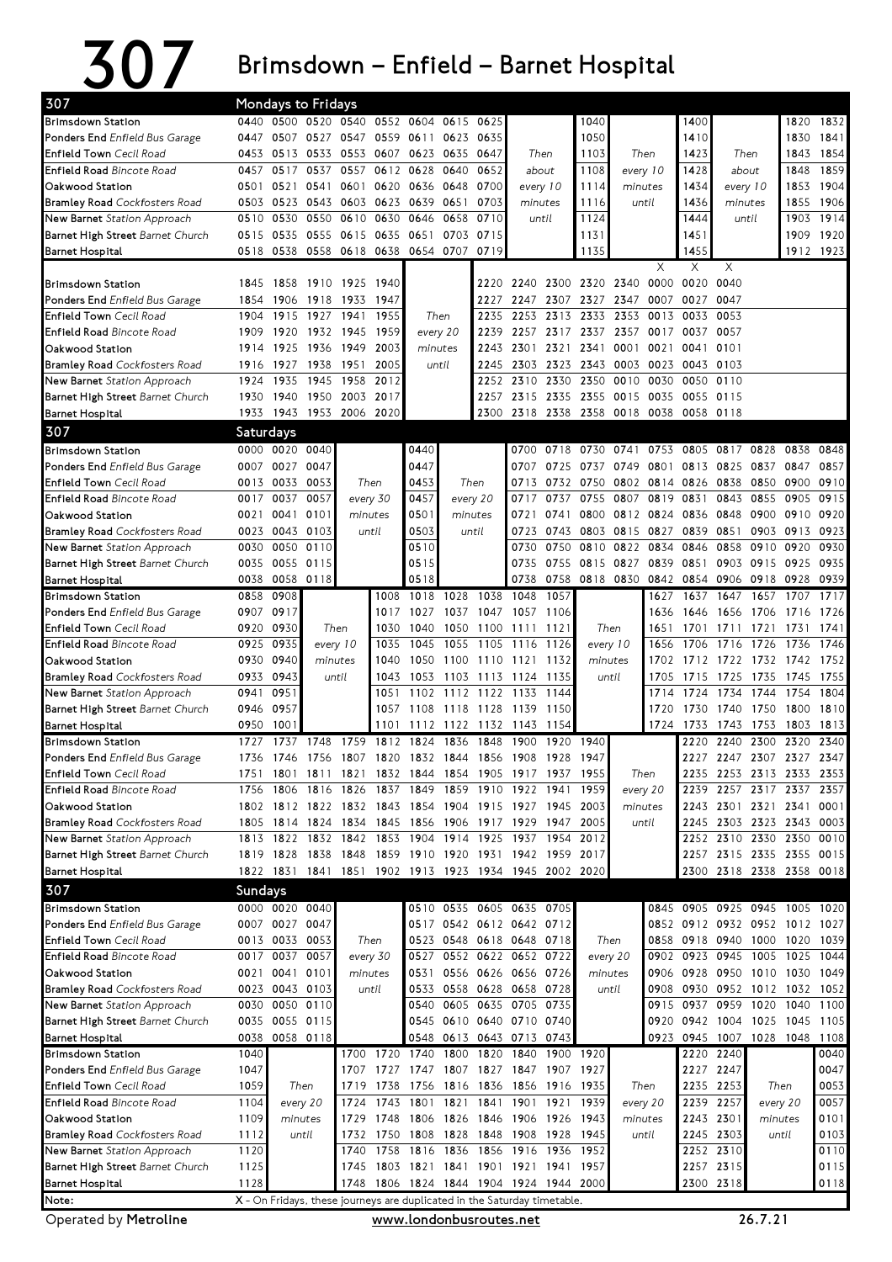## 307 Brimsdown – Enfield – Barnet Hospital

| 307                                                                 |           |                   | Mondays to Fridays                                                       |              |                |                                                  |                |                |                                         |              |                               |           |                     |              |                               |                |              |              |
|---------------------------------------------------------------------|-----------|-------------------|--------------------------------------------------------------------------|--------------|----------------|--------------------------------------------------|----------------|----------------|-----------------------------------------|--------------|-------------------------------|-----------|---------------------|--------------|-------------------------------|----------------|--------------|--------------|
| Brimsdown Station                                                   |           |                   | 0440 0500 0520 0540 0552 0604 0615 0625                                  |              |                |                                                  |                |                |                                         |              | 1040                          |           |                     | 1400         |                               |                | 1820         | 1832         |
| <b>Ponders End</b> Enfield Bus Garage                               |           | 0447 0507         |                                                                          |              |                | 0527 0547 0559 0611 0623                         |                | 0635           |                                         |              | 1050                          |           |                     | 1410         |                               |                | 1830         | 1841         |
| Enfield Town Cecil Road                                             |           | 0453 0513         |                                                                          |              |                | 0533 0553 0607 0623 0635 0647                    |                |                |                                         | Then         | 1103                          |           | Then                | 1423         | Then                          |                | 1843         | 1854         |
| <b>Enfield Road Bincote Road</b>                                    | 0457      | 0517              | 0537                                                                     | 0557         |                | 0612 0628                                        | 0640           |                |                                         | about        |                               | every 10  |                     | 1428         | about                         |                | 1848         | 1859         |
| Oakwood Station                                                     | 0501      | 0521              | 0541                                                                     | 0601         | 0620           |                                                  | 0636 0648      | 0700           |                                         | every 10     | 1114                          |           | minutes             | 1434         | every 10                      |                | 1853         | 1904         |
| <b>Bramley Road</b> Cockfosters Road                                |           | 0503 0523         | 0543 0603 0623 0639                                                      |              |                | 0651                                             |                | 0703           | minutes                                 |              | 1116                          | until     |                     | 1436         | minutes                       |                | 1855         | 1906         |
| New Barnet Station Approach                                         |           | 0510 0530         | 0550                                                                     |              | 0610 0630      | 0646<br>0658<br>0703<br>0558 0618 0638 0654 0707 |                | 0710           | until                                   |              | 1124                          |           |                     | 1444         |                               | until          | 1903         | 1914         |
| Barnet High Street Barnet Church                                    |           | 0515 0535         | 0555                                                                     |              | 0615 0635 0651 |                                                  |                | 0715           |                                         |              | 1131                          |           |                     | 1451         |                               |                | 1909         | 1920         |
| Barnet Hospital                                                     |           | 0518 0538         |                                                                          |              |                |                                                  |                | 0719           |                                         |              | 1135                          |           |                     | 1455         |                               |                |              | 1912 1923    |
|                                                                     |           |                   |                                                                          |              |                |                                                  |                |                |                                         |              |                               |           | X                   | X            | X                             |                |              |              |
| Brimsdown Station                                                   |           | 1845 1858         | 1910 1925 1940                                                           |              |                |                                                  |                |                |                                         |              | 2220 2240 2300 2320 2340 0000 |           |                     | 0020         | 0040                          |                |              |              |
| Ponders End Enfield Bus Garage                                      |           | 1854 1906         |                                                                          | 1918 1933    | 1947           |                                                  |                | 2227           | 2247                                    |              | 2307 2327 2347 0007           |           |                     | 0027         | 0047                          |                |              |              |
| <b>Enfield Town</b> Cecil Road                                      | 1904      | 1915              | 1927                                                                     | 1941         | 1955           |                                                  | Then           | 2235           | 2253                                    | 2313         | 2333                          | 2353      | 0013                | 0033         | 0053                          |                |              |              |
| <b>Enfield Road Bincote Road</b>                                    | 1909      | 1920              |                                                                          | 1932 1945    | 1959           |                                                  | every 20       | 2239           | 2257                                    | 2317         | 2337                          | 2357      | 0017                | 0037         | 0057                          |                |              |              |
| Oakwood Station                                                     | 1914      | 1925              | 1936                                                                     | 1949         | 2003           |                                                  | minutes        | 2243           | 2301                                    | 2321         | 2341                          | 0001      | 0021                | 0041         | 0101                          |                |              |              |
| <b>Bramley Road</b> Cockfosters Road                                |           | 1916 1927         |                                                                          | 1938 1951    | 2005           |                                                  | until          |                | 2245 2303                               |              | 2323 2343 0003                |           | 0023                | 0043 0103    |                               |                |              |              |
| New Barnet Station Approach                                         | 1924      | 1935              | 1945                                                                     | 1958         | 2012           |                                                  |                |                | 2252 2310                               | 2330         | 2350                          | 0010      | 0030                | 0050         | 0110                          |                |              |              |
| Barnet High Street Barnet Church                                    |           | 1930 1940         | 1950                                                                     | 2003         | 2017           |                                                  |                | 2257           | 2315                                    |              | 2335 2355                     | 0015      | 0035                | 0055         | 0115                          |                |              |              |
| Barnet Hospital                                                     |           | 1933 1943         | 1953 2006 2020                                                           |              |                |                                                  |                |                | 2300 2318                               |              | 2338 2358 0018                |           | 0038                | 0058 0118    |                               |                |              |              |
| 307                                                                 | Saturdays |                   |                                                                          |              |                |                                                  |                |                |                                         |              |                               |           |                     |              |                               |                |              |              |
| <b>Brimsdown Station</b>                                            |           | 0000 0020 0040    |                                                                          |              |                | 0440                                             |                |                | 0700                                    | 0718         | 0730                          | 0741      |                     | 0753 0805    | 0817 0828                     |                | 0838         | 0848         |
| Ponders End Enfield Bus Garage                                      |           | 0007 0027         | 0047                                                                     |              |                | 0447                                             |                |                | 0707                                    | 0725         |                               |           | 0737 0749 0801 0813 |              | 0825 0837 0847                |                |              | 0857         |
| Enfield Town Cecil Road                                             |           | 0013 0033         | 0053                                                                     |              | Then           |                                                  | 0453<br>Then   |                | 0713                                    |              | 0732 0750                     | 0802      | 0814 0826           |              | 0838 0850                     |                | 0900         | 0910         |
| Enfield Road Bincote Road                                           |           | 0017 0037         | 0057                                                                     |              | every 30       | 0457                                             |                | every 20       | 0717                                    | 0737         | 0755<br>0807                  |           | 0819                | 0831         | 0843                          | 0855           | 0905         | 0915         |
| Oakwood Station                                                     |           | 0021 0041         | 0101                                                                     |              | minutes        | 0501                                             |                | minutes        | 0721                                    | 0741         | 0800                          | 0812 0824 |                     | 0836         | 0848                          | 0900           | 0910         | 0920         |
| <b>Bramley Road</b> Cockfosters Road                                |           | 0023 0043         | 0103                                                                     |              | until          | 0503                                             |                | until          | 0723                                    | 0743         | 0803 0815                     |           | 0827                | 0839         | 0851                          | 0903           | 0913         | 0923         |
| New Barnet Station Approach                                         |           | 0030 0050         | 0110                                                                     |              |                | 0510                                             |                |                | 0730                                    | 0750         | 0810                          | 0822      | 0834                | 0846         | 0858                          | 0910           | 0920         | 0930         |
| Barnet High Street Barnet Church                                    |           | 0035 0055 0115    |                                                                          |              |                | 0515                                             |                |                | 0735                                    | 0755         | 0815 0827                     |           | 0839                | 0851         |                               | 0903 0915      | 0925         | 0935         |
| Barnet Hospital                                                     | 0038      | 0058 0118         |                                                                          |              |                | 0518                                             |                |                | 0738                                    | 0758         | 0818 0830 0842 0854           |           |                     |              | 0906 0918                     |                | 0928         | 0939         |
| <b>Brimsdown Station</b>                                            | 0858      | 0908              |                                                                          |              | 1008           | 1018                                             | 1028           | 1038           | 1048                                    | 1057         |                               |           | 1627                | 1637         | 1647                          | 1657           | 1707         | 1717         |
| Ponders End Enfield Bus Garage                                      |           | 0907 0917         |                                                                          |              | 1017           | 1027                                             | 1037           | 1047           | 1057                                    | 1106         |                               |           | 1636                | 1646         | 1656 1706                     |                | 1716         | 1726         |
| <b>Enfield Town</b> Cecil Road                                      |           | 0920 0930         |                                                                          | Then         | 1030           | 1040                                             | 1050           | 1100           | 1111                                    | 1121         |                               | Then      | 1651                | 1701         | 1711                          | 1721           | 1731         | 1741         |
| Enfield Road Bincote Road                                           |           | 0925 0935         |                                                                          | every 10     | 1035           | 1045                                             | 1055           | 1105           | 1116                                    | 1126         | every 10                      |           | 1656                | 1706         | 1716                          | 1726           | 1736         | 1746         |
| Oakwood Station                                                     |           | 0930 0940         | minutes                                                                  |              | 1040           | 1050                                             | 1100           | 1110 1121      |                                         | 1132         | minutes                       |           | 1702                |              | 1712 1722 1732                |                | 1742         | 1752         |
| <b>Bramley Road</b> Cockfosters Road<br>New Barnet Station Approach | 0941      | 0933 0943<br>0951 |                                                                          | until        | 1043<br>1051   | 1053<br>1102                                     | 1103<br>1112   | 1122 1133      | 1113 1124                               | 1135<br>1144 |                               | until     | 1705<br>1714        | 1715<br>1724 | 1725<br>1734                  | 1735<br>1744   | 1745<br>1754 | 1755<br>1804 |
| Barnet High Street Barnet Church                                    |           | 0946 0957         |                                                                          |              | 1057           | 1108                                             | 1118 1128 1139 |                |                                         | 1150         |                               |           | 1720                | 1730         | 1740                          | 1750           | 1800         | 1810         |
| Barnet Hospital                                                     | 0950      | 1001              |                                                                          |              | 1101           | 1112                                             | 1122           |                | 1132 1143                               | 1154         |                               |           | 1724                | 1733         | 1743                          | 1753           | 1803         | 1813         |
| <b>Brimsdown Station</b>                                            | 1727      |                   | 1737 1748                                                                | 1759         | 1812           | 1824                                             | 1836           | 1848           | 1900                                    | 1920         | 1940                          |           |                     | 2220         | 2240                          | 2300           | 2320         | 2340         |
| <b>Ponders End Enfield Bus Garage</b>                               |           |                   | 1736 1746 1756 1807 1820                                                 |              |                | 1832 1844 1856 1908                              |                |                |                                         | 1928         | 1947                          |           |                     | 2227         |                               | 2247 2307 2327 |              | 2347         |
| <b>Enfield Town</b> Cecil Road                                      | 1751      |                   | 1801 1811 1821 1832 1844 1854 1905 1917 1937                             |              |                |                                                  |                |                |                                         |              | 1955                          |           | Then                |              | 2235 2253 2313 2333 2353      |                |              |              |
| <b>Enfield Road</b> Bincote Road                                    |           | 1756 1806         | 1816                                                                     | 1826         | 1837           | 1849                                             | 1859           | 1910           | 1922                                    | 1941 1959    |                               |           | every 20            | 2239         |                               | 2257 2317      | 2337         | 2357         |
| Oakwood Station                                                     |           |                   | 1802 1812 1822 1832 1843 1854 1904                                       |              |                |                                                  |                |                | 1915 1927 1945 2003                     |              |                               | minutes   |                     |              | 2243 2301 2321 2341           |                |              | 0001         |
| <b>Bramley Road</b> Cockfosters Road                                |           | 1805 1814         | 1824 1834 1845 1856                                                      |              |                |                                                  | 1906           | 1917 1929      |                                         | 1947 2005    |                               |           | until               | 2245         | 2303 2323 2343 0003           |                |              |              |
| New Barnet Station Approach                                         |           | 1813 1822         |                                                                          | 1832 1842    |                | 1853 1904 1914                                   |                |                | 1925 1937                               | 1954         | 2012                          |           |                     |              | 2252 2310 2330 2350           |                |              | 0010         |
| Barnet High Street Barnet Church                                    |           | 1819 1828         |                                                                          | 1838 1848    |                |                                                  |                |                | 1859 1910 1920 1931 1942 1959 2017      |              |                               |           |                     | 2257         | 2315 2335 2355 0015           |                |              |              |
| Barnet Hospital                                                     |           |                   | 1822 1831 1841 1851 1902 1913 1923 1934 1945 2002 2020                   |              |                |                                                  |                |                |                                         |              |                               |           |                     |              | 2300 2318 2338 2358 0018      |                |              |              |
| 307                                                                 | Sundays   |                   |                                                                          |              |                |                                                  |                |                |                                         |              |                               |           |                     |              |                               |                |              |              |
| <b>Brimsdown Station</b>                                            |           | 0000 0020 0040    |                                                                          |              |                |                                                  |                |                | 0510 0535 0605 0635 0705                |              |                               |           |                     |              | 0845 0905 0925 0945           |                |              | 1005 1020    |
| Ponders End Enfield Bus Garage                                      |           | 0007 0027 0047    |                                                                          |              |                |                                                  |                |                | 0517 0542 0612 0642 0712                |              |                               |           |                     |              | 0852 0912 0932 0952 1012 1027 |                |              |              |
| Enfield Town Cecil Road                                             |           | 0013 0033         | 0053                                                                     |              | Then           | 0523                                             | 0548 0618 0648 |                |                                         | 0718         |                               | Then      | 0858                |              | 0918 0940 1000                |                | 1020         | 1039         |
| Enfield Road Bincote Road                                           |           | 0017 0037         | 0057                                                                     |              | every 30       |                                                  |                |                | 0527 0552 0622 0652 0722                |              |                               | every 20  |                     | 0902 0923    | 0945 1005                     |                |              | 1025 1044    |
| Oakwood Station                                                     |           | 0021 0041         | 0101                                                                     |              | minutes        | 0531                                             |                |                | 0556 0626 0656 0726                     |              |                               | minutes   | 0906                | 0928         | 0950 1010                     |                | 1030         | 1049         |
| <b>Bramley Road</b> Cockfosters Road                                |           | 0023 0043 0103    |                                                                          |              | until          | 0533                                             |                | 0558 0628 0658 |                                         | 0728         |                               | until     | 0908                | 0930         | 0952 1012                     |                | 1032         | 1052         |
| New Barnet Station Approach                                         |           | 0030 0050         | 0110                                                                     |              |                | 0540                                             |                |                | 0605 0635 0705                          | 0735         |                               |           | 0915                | 0937         | 0959 1020                     |                | 1040         | 1100         |
| Barnet High Street Barnet Church                                    |           | 0035 0055 0115    |                                                                          |              |                | 0545                                             |                |                | 0610 0640 0710 0740                     |              |                               |           | 0920                |              | 0942 1004 1025 1045           |                |              | 1105         |
| Barnet Hospital                                                     |           | 0038 0058 0118    |                                                                          |              |                | 0548                                             |                |                | 0613 0643 0713 0743                     |              |                               |           |                     |              | 0923 0945 1007 1028 1048 1108 |                |              |              |
| Brimsdown Station                                                   | 1040      |                   |                                                                          | 1700         | 1720           | 1740                                             | 1800           |                | 1820 1840                               |              | 1900 1920                     |           |                     | 2220         | 2240                          |                |              | 0040         |
| Ponders End Enfield Bus Garage                                      | 1047      |                   |                                                                          | 1707         | 1727           | 1747                                             | 1807           |                | 1827 1847                               |              | 1907 1927                     |           |                     |              | 2227 2247                     |                |              | 0047         |
| <b>Enfield Town</b> Cecil Road                                      | 1059      |                   | Then                                                                     | 1719         | 1738           | 1756                                             | 1816           |                | 1836 1856                               |              | 1916 1935                     |           | Then                |              | 2235 2253                     | Then           |              | 0053         |
| Enfield Road Bincote Road                                           | 1104      |                   | every 20                                                                 | 1743<br>1724 |                | 1801                                             | 1821           | 1841           | 1901                                    | 1921         | 1939                          | every 20  |                     | 2239         | 2257                          | every 20       |              | 0057         |
| Oakwood Station                                                     | 1109      |                   | minutes                                                                  | 1729         |                |                                                  |                |                | 1748 1806 1826 1846 1906 1926 1943      |              |                               |           | minutes             | 2243 2301    |                               |                | minutes      | 0101         |
| <b>Bramley Road</b> Cockfosters Road                                | 1112      |                   | until                                                                    | 1732         |                | 1750 1808 1828                                   |                |                | 1848 1908                               | 1928 1945    |                               |           | until               |              | 2245 2303                     |                | until        | 0103         |
| New Barnet Station Approach                                         | 1120      |                   |                                                                          | 1740         | 1758           | 1816                                             | 1836           | 1856 1916      |                                         | 1936         | 1952                          |           |                     |              | 2252 2310                     |                |              | 0110         |
| Barnet High Street Barnet Church                                    | 1125      |                   |                                                                          | 1745         |                |                                                  |                |                | 1803 1821 1841 1901 1921 1941 1957      |              |                               |           |                     |              | 2257 2315                     |                |              | 0115         |
| <b>Barnet Hospital</b>                                              | 1128      |                   |                                                                          |              |                |                                                  |                |                | 1748 1806 1824 1844 1904 1924 1944 2000 |              |                               |           |                     |              | 2300 2318                     |                |              | 0118         |
| Note:                                                               |           |                   | X - On Fridays, these journeys are duplicated in the Saturday timetable. |              |                |                                                  |                |                |                                         |              |                               |           |                     |              |                               |                |              |              |

Operated by Metroline **WWW.Londonbusroutes.net** 26.7.21